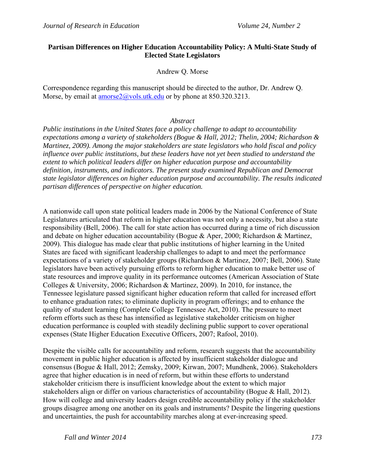### **Partisan Differences on Higher Education Accountability Policy: A Multi-State Study of Elected State Legislators**

### Andrew Q. Morse

Correspondence regarding this manuscript should be directed to the author, Dr. Andrew Q. Morse, by email at amorse2@vols.utk.edu or by phone at 850.320.3213.

#### *Abstract*

*Public institutions in the United States face a policy challenge to adapt to accountability expectations among a variety of stakeholders (Bogue & Hall, 2012; Thelin, 2004; Richardson & Martinez, 2009). Among the major stakeholders are state legislators who hold fiscal and policy influence over public institutions, but these leaders have not yet been studied to understand the extent to which political leaders differ on higher education purpose and accountability definition, instruments, and indicators. The present study examined Republican and Democrat state legislator differences on higher education purpose and accountability. The results indicated partisan differences of perspective on higher education.* 

A nationwide call upon state political leaders made in 2006 by the National Conference of State Legislatures articulated that reform in higher education was not only a necessity, but also a state responsibility (Bell, 2006). The call for state action has occurred during a time of rich discussion and debate on higher education accountability (Bogue & Aper, 2000; Richardson & Martinez, 2009). This dialogue has made clear that public institutions of higher learning in the United States are faced with significant leadership challenges to adapt to and meet the performance expectations of a variety of stakeholder groups (Richardson & Martinez, 2007; Bell, 2006). State legislators have been actively pursuing efforts to reform higher education to make better use of state resources and improve quality in its performance outcomes (American Association of State Colleges & University, 2006; Richardson & Martinez, 2009). In 2010, for instance, the Tennessee legislature passed significant higher education reform that called for increased effort to enhance graduation rates; to eliminate duplicity in program offerings; and to enhance the quality of student learning (Complete College Tennessee Act, 2010). The pressure to meet reform efforts such as these has intensified as legislative stakeholder criticism on higher education performance is coupled with steadily declining public support to cover operational expenses (State Higher Education Executive Officers, 2007; Rafool, 2010).

Despite the visible calls for accountability and reform, research suggests that the accountability movement in public higher education is affected by insufficient stakeholder dialogue and consensus (Bogue & Hall, 2012; Zemsky, 2009; Kirwan, 2007; Mundhenk, 2006). Stakeholders agree that higher education is in need of reform, but within these efforts to understand stakeholder criticism there is insufficient knowledge about the extent to which major stakeholders align or differ on various characteristics of accountability (Bogue & Hall, 2012). How will college and university leaders design credible accountability policy if the stakeholder groups disagree among one another on its goals and instruments? Despite the lingering questions and uncertainties, the push for accountability marches along at ever-increasing speed.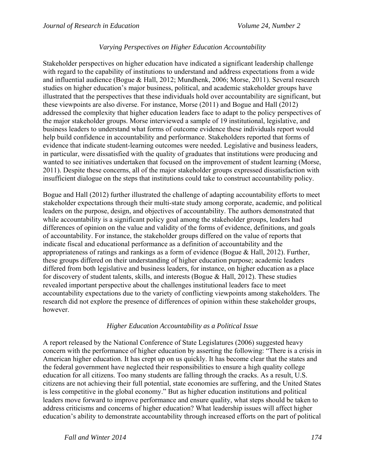### *Varying Perspectives on Higher Education Accountability*

Stakeholder perspectives on higher education have indicated a significant leadership challenge with regard to the capability of institutions to understand and address expectations from a wide and influential audience (Bogue & Hall, 2012; Mundhenk, 2006; Morse, 2011). Several research studies on higher education's major business, political, and academic stakeholder groups have illustrated that the perspectives that these individuals hold over accountability are significant, but these viewpoints are also diverse. For instance, Morse (2011) and Bogue and Hall (2012) addressed the complexity that higher education leaders face to adapt to the policy perspectives of the major stakeholder groups. Morse interviewed a sample of 19 institutional, legislative, and business leaders to understand what forms of outcome evidence these individuals report would help build confidence in accountability and performance. Stakeholders reported that forms of evidence that indicate student-learning outcomes were needed. Legislative and business leaders, in particular, were dissatisfied with the quality of graduates that institutions were producing and wanted to see initiatives undertaken that focused on the improvement of student learning (Morse, 2011). Despite these concerns, all of the major stakeholder groups expressed dissatisfaction with insufficient dialogue on the steps that institutions could take to construct accountability policy.

Bogue and Hall (2012) further illustrated the challenge of adapting accountability efforts to meet stakeholder expectations through their multi-state study among corporate, academic, and political leaders on the purpose, design, and objectives of accountability. The authors demonstrated that while accountability is a significant policy goal among the stakeholder groups, leaders had differences of opinion on the value and validity of the forms of evidence, definitions, and goals of accountability. For instance, the stakeholder groups differed on the value of reports that indicate fiscal and educational performance as a definition of accountability and the appropriateness of ratings and rankings as a form of evidence (Bogue & Hall, 2012). Further, these groups differed on their understanding of higher education purpose; academic leaders differed from both legislative and business leaders, for instance, on higher education as a place for discovery of student talents, skills, and interests (Bogue & Hall, 2012). These studies revealed important perspective about the challenges institutional leaders face to meet accountability expectations due to the variety of conflicting viewpoints among stakeholders. The research did not explore the presence of differences of opinion within these stakeholder groups, however.

### *Higher Education Accountability as a Political Issue*

A report released by the National Conference of State Legislatures (2006) suggested heavy concern with the performance of higher education by asserting the following: "There is a crisis in American higher education. It has crept up on us quickly. It has become clear that the states and the federal government have neglected their responsibilities to ensure a high quality college education for all citizens. Too many students are falling through the cracks. As a result, U.S. citizens are not achieving their full potential, state economies are suffering, and the United States is less competitive in the global economy." But as higher education institutions and political leaders move forward to improve performance and ensure quality, what steps should be taken to address criticisms and concerns of higher education? What leadership issues will affect higher education's ability to demonstrate accountability through increased efforts on the part of political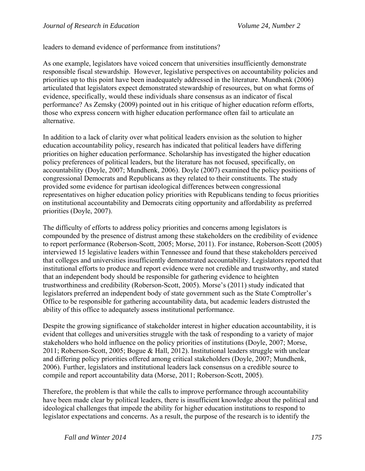leaders to demand evidence of performance from institutions?

As one example, legislators have voiced concern that universities insufficiently demonstrate responsible fiscal stewardship. However, legislative perspectives on accountability policies and priorities up to this point have been inadequately addressed in the literature. Mundhenk (2006) articulated that legislators expect demonstrated stewardship of resources, but on what forms of evidence, specifically, would these individuals share consensus as an indicator of fiscal performance? As Zemsky (2009) pointed out in his critique of higher education reform efforts, those who express concern with higher education performance often fail to articulate an alternative.

In addition to a lack of clarity over what political leaders envision as the solution to higher education accountability policy, research has indicated that political leaders have differing priorities on higher education performance. Scholarship has investigated the higher education policy preferences of political leaders, but the literature has not focused, specifically, on accountability (Doyle, 2007; Mundhenk, 2006). Doyle (2007) examined the policy positions of congressional Democrats and Republicans as they related to their constituents. The study provided some evidence for partisan ideological differences between congressional representatives on higher education policy priorities with Republicans tending to focus priorities on institutional accountability and Democrats citing opportunity and affordability as preferred priorities (Doyle, 2007).

The difficulty of efforts to address policy priorities and concerns among legislators is compounded by the presence of distrust among these stakeholders on the credibility of evidence to report performance (Roberson-Scott, 2005; Morse, 2011). For instance, Roberson-Scott (2005) interviewed 15 legislative leaders within Tennessee and found that these stakeholders perceived that colleges and universities insufficiently demonstrated accountability. Legislators reported that institutional efforts to produce and report evidence were not credible and trustworthy, and stated that an independent body should be responsible for gathering evidence to heighten trustworthiness and credibility (Roberson-Scott, 2005). Morse's (2011) study indicated that legislators preferred an independent body of state government such as the State Comptroller's Office to be responsible for gathering accountability data, but academic leaders distrusted the ability of this office to adequately assess institutional performance.

Despite the growing significance of stakeholder interest in higher education accountability, it is evident that colleges and universities struggle with the task of responding to a variety of major stakeholders who hold influence on the policy priorities of institutions (Doyle, 2007; Morse, 2011; Roberson-Scott, 2005; Bogue & Hall, 2012). Institutional leaders struggle with unclear and differing policy priorities offered among critical stakeholders (Doyle, 2007; Mundhenk, 2006). Further, legislators and institutional leaders lack consensus on a credible source to compile and report accountability data (Morse, 2011; Roberson-Scott, 2005).

Therefore, the problem is that while the calls to improve performance through accountability have been made clear by political leaders, there is insufficient knowledge about the political and ideological challenges that impede the ability for higher education institutions to respond to legislator expectations and concerns. As a result, the purpose of the research is to identify the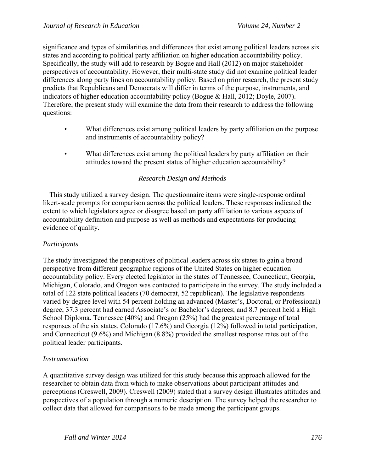significance and types of similarities and differences that exist among political leaders across six states and according to political party affiliation on higher education accountability policy. Specifically, the study will add to research by Bogue and Hall (2012) on major stakeholder perspectives of accountability. However, their multi-state study did not examine political leader differences along party lines on accountability policy. Based on prior research, the present study predicts that Republicans and Democrats will differ in terms of the purpose, instruments, and indicators of higher education accountability policy (Bogue & Hall, 2012; Doyle, 2007). Therefore, the present study will examine the data from their research to address the following questions:

- What differences exist among political leaders by party affiliation on the purpose and instruments of accountability policy?
- What differences exist among the political leaders by party affiliation on their attitudes toward the present status of higher education accountability?

# *Research Design and Methods*

 This study utilized a survey design. The questionnaire items were single-response ordinal likert-scale prompts for comparison across the political leaders. These responses indicated the extent to which legislators agree or disagree based on party affiliation to various aspects of accountability definition and purpose as well as methods and expectations for producing evidence of quality.

# *Participants*

The study investigated the perspectives of political leaders across six states to gain a broad perspective from different geographic regions of the United States on higher education accountability policy. Every elected legislator in the states of Tennessee, Connecticut, Georgia, Michigan, Colorado, and Oregon was contacted to participate in the survey. The study included a total of 122 state political leaders (70 democrat, 52 republican). The legislative respondents varied by degree level with 54 percent holding an advanced (Master's, Doctoral, or Professional) degree; 37.3 percent had earned Associate's or Bachelor's degrees; and 8.7 percent held a High School Diploma. Tennessee (40%) and Oregon (25%) had the greatest percentage of total responses of the six states. Colorado (17.6%) and Georgia (12%) followed in total participation, and Connecticut (9.6%) and Michigan (8.8%) provided the smallest response rates out of the political leader participants.

# *Instrumentation*

A quantitative survey design was utilized for this study because this approach allowed for the researcher to obtain data from which to make observations about participant attitudes and perceptions (Creswell, 2009). Creswell (2009) stated that a survey design illustrates attitudes and perspectives of a population through a numeric description. The survey helped the researcher to collect data that allowed for comparisons to be made among the participant groups.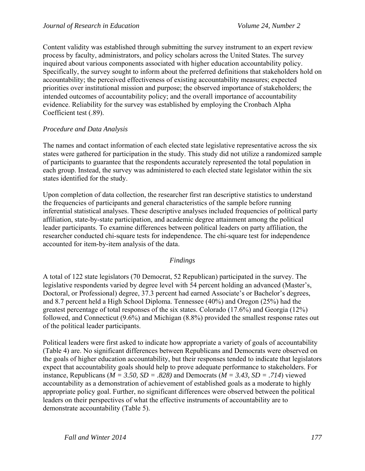Content validity was established through submitting the survey instrument to an expert review process by faculty, administrators, and policy scholars across the United States. The survey inquired about various components associated with higher education accountability policy. Specifically, the survey sought to inform about the preferred definitions that stakeholders hold on accountability; the perceived effectiveness of existing accountability measures; expected priorities over institutional mission and purpose; the observed importance of stakeholders; the intended outcomes of accountability policy; and the overall importance of accountability evidence. Reliability for the survey was established by employing the Cronbach Alpha Coefficient test (.89).

### *Procedure and Data Analysis*

The names and contact information of each elected state legislative representative across the six states were gathered for participation in the study. This study did not utilize a randomized sample of participants to guarantee that the respondents accurately represented the total population in each group. Instead, the survey was administered to each elected state legislator within the six states identified for the study.

Upon completion of data collection, the researcher first ran descriptive statistics to understand the frequencies of participants and general characteristics of the sample before running inferential statistical analyses. These descriptive analyses included frequencies of political party affiliation, state-by-state participation, and academic degree attainment among the political leader participants. To examine differences between political leaders on party affiliation, the researcher conducted chi-square tests for independence. The chi-square test for independence accounted for item-by-item analysis of the data.

### *Findings*

A total of 122 state legislators (70 Democrat, 52 Republican) participated in the survey. The legislative respondents varied by degree level with 54 percent holding an advanced (Master's, Doctoral, or Professional) degree, 37.3 percent had earned Associate's or Bachelor's degrees, and 8.7 percent held a High School Diploma. Tennessee (40%) and Oregon (25%) had the greatest percentage of total responses of the six states. Colorado (17.6%) and Georgia (12%) followed, and Connecticut (9.6%) and Michigan (8.8%) provided the smallest response rates out of the political leader participants.

Political leaders were first asked to indicate how appropriate a variety of goals of accountability (Table 4) are. No significant differences between Republicans and Democrats were observed on the goals of higher education accountability, but their responses tended to indicate that legislators expect that accountability goals should help to prove adequate performance to stakeholders. For instance, Republicans ( $M = 3.50$ ,  $SD = .828$ ) and Democrats ( $M = 3.43$ ,  $SD = .714$ ) viewed accountability as a demonstration of achievement of established goals as a moderate to highly appropriate policy goal. Further, no significant differences were observed between the political leaders on their perspectives of what the effective instruments of accountability are to demonstrate accountability (Table 5).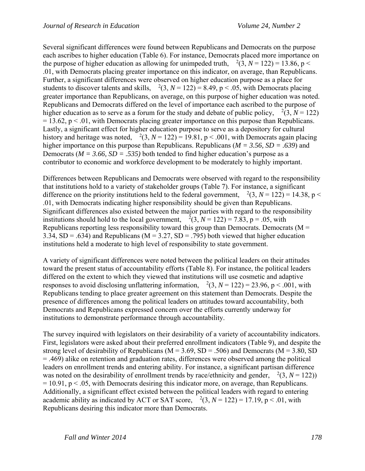Several significant differences were found between Republicans and Democrats on the purpose each ascribes to higher education (Table 6). For instance, Democrats placed more importance on the purpose of higher education as allowing for unimpeded truth,  $^{2}(3, N = 122) = 13.86$ , p < .01, with Democrats placing greater importance on this indicator, on average, than Republicans. Further, a significant differences were observed on higher education purpose as a place for students to discover talents and skills,  $^{2}(3, N = 122) = 8.49$ , p < .05, with Democrats placing greater importance than Republicans, on average, on this purpose of higher education was noted. Republicans and Democrats differed on the level of importance each ascribed to the purpose of higher education as to serve as a forum for the study and debate of public policy,  $^{2}(3, N = 122)$  $= 13.62$ ,  $p < 0.01$ , with Democrats placing greater importance on this purpose than Republicans. Lastly, a significant effect for higher education purpose to serve as a depository for cultural history and heritage was noted,  $\frac{2}{3}$ ,  $N = 122$ ) = 19.81, p < .001, with Democrats again placing higher importance on this purpose than Republicans. Republicans (*M = 3.56, SD = .639*) and Democrats ( $M = 3.66$ ,  $SD = .535$ ) both tended to find higher education's purpose as a contributor to economic and workforce development to be moderately to highly important.

Differences between Republicans and Democrats were observed with regard to the responsibility that institutions hold to a variety of stakeholder groups (Table 7). For instance, a significant difference on the priority institutions held to the federal government,  $^{2}(3, N = 122) = 14.38$ , p < .01, with Democrats indicating higher responsibility should be given than Republicans. Significant differences also existed between the major parties with regard to the responsibility institutions should hold to the local government,  $^{2}(3, N = 122) = 7.83$ , p = .05, with Republicans reporting less responsibility toward this group than Democrats. Democrats ( $M =$ 3.34,  $SD = .634$ ) and Republicans (M = 3.27,  $SD = .795$ ) both viewed that higher education institutions held a moderate to high level of responsibility to state government.

A variety of significant differences were noted between the political leaders on their attitudes toward the present status of accountability efforts (Table 8). For instance, the political leaders differed on the extent to which they viewed that institutions will use cosmetic and adaptive responses to avoid disclosing unflattering information,  $^{2}(3, N = 122) = 23.96$ , p < .001, with Republicans tending to place greater agreement on this statement than Democrats. Despite the presence of differences among the political leaders on attitudes toward accountability, both Democrats and Republicans expressed concern over the efforts currently underway for institutions to demonstrate performance through accountability.

The survey inquired with legislators on their desirability of a variety of accountability indicators. First, legislators were asked about their preferred enrollment indicators (Table 9), and despite the strong level of desirability of Republicans ( $M = 3.69$ ,  $SD = .506$ ) and Democrats ( $M = 3.80$ , SD = .469) alike on retention and graduation rates, differences were observed among the political leaders on enrollment trends and entering ability. For instance, a significant partisan difference was noted on the desirability of enrollment trends by race/ethnicity and gender,  $^{2}(3, N = 122)$ )  $= 10.91$ ,  $p < 0.05$ , with Democrats desiring this indicator more, on average, than Republicans. Additionally, a significant effect existed between the political leaders with regard to entering academic ability as indicated by ACT or SAT score,  $^{2}(3, N = 122) = 17.19$ , p < .01, with Republicans desiring this indicator more than Democrats.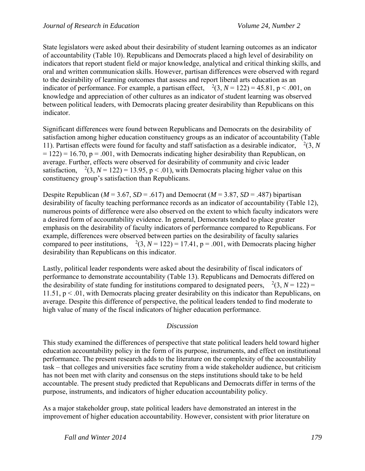State legislators were asked about their desirability of student learning outcomes as an indicator of accountability (Table 10). Republicans and Democrats placed a high level of desirability on indicators that report student field or major knowledge, analytical and critical thinking skills, and oral and written communication skills. However, partisan differences were observed with regard to the desirability of learning outcomes that assess and report liberal arts education as an indicator of performance. For example, a partisan effect,  $\frac{2(3, N = 122)}{2} = 45.81$ , p < .001, on knowledge and appreciation of other cultures as an indicator of student learning was observed between political leaders, with Democrats placing greater desirability than Republicans on this indicator.

Significant differences were found between Republicans and Democrats on the desirability of satisfaction among higher education constituency groups as an indicator of accountability (Table 11). Partisan effects were found for faculty and staff satisfaction as a desirable indicator,  $\frac{2}{3}$ , *N*  $= 122$ ) = 16.70, p = .001, with Democrats indicating higher desirability than Republican, on average. Further, effects were observed for desirability of community and civic leader satisfaction,  $^{2}(3, N = 122) = 13.95$ ,  $p < .01$ ), with Democrats placing higher value on this constituency group's satisfaction than Republicans.

Despite Republican ( $M = 3.67$ ,  $SD = .617$ ) and Democrat ( $M = 3.87$ ,  $SD = .487$ ) bipartisan desirability of faculty teaching performance records as an indicator of accountability (Table 12), numerous points of difference were also observed on the extent to which faculty indicators were a desired form of accountability evidence. In general, Democrats tended to place greater emphasis on the desirability of faculty indicators of performance compared to Republicans. For example, differences were observed between parties on the desirability of faculty salaries compared to peer institutions,  $^{2}(3, N = 122) = 17.41$ , p = .001, with Democrats placing higher desirability than Republicans on this indicator.

Lastly, political leader respondents were asked about the desirability of fiscal indicators of performance to demonstrate accountability (Table 13). Republicans and Democrats differed on the desirability of state funding for institutions compared to designated peers,  $^{2}(3, N = 122) =$ 11.51, p < .01, with Democrats placing greater desirability on this indicator than Republicans, on average. Despite this difference of perspective, the political leaders tended to find moderate to high value of many of the fiscal indicators of higher education performance.

### *Discussion*

This study examined the differences of perspective that state political leaders held toward higher education accountability policy in the form of its purpose, instruments, and effect on institutional performance. The present research adds to the literature on the complexity of the accountability task – that colleges and universities face scrutiny from a wide stakeholder audience, but criticism has not been met with clarity and consensus on the steps institutions should take to be held accountable. The present study predicted that Republicans and Democrats differ in terms of the purpose, instruments, and indicators of higher education accountability policy.

As a major stakeholder group, state political leaders have demonstrated an interest in the improvement of higher education accountability. However, consistent with prior literature on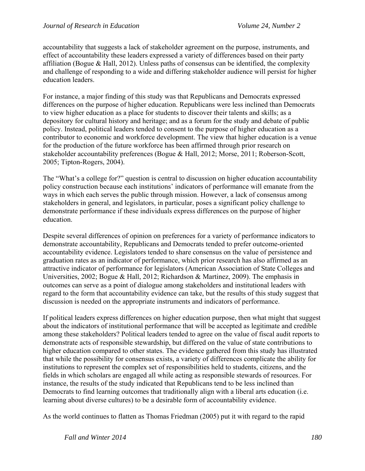accountability that suggests a lack of stakeholder agreement on the purpose, instruments, and effect of accountability these leaders expressed a variety of differences based on their party affiliation (Bogue & Hall, 2012). Unless paths of consensus can be identified, the complexity and challenge of responding to a wide and differing stakeholder audience will persist for higher education leaders.

For instance, a major finding of this study was that Republicans and Democrats expressed differences on the purpose of higher education. Republicans were less inclined than Democrats to view higher education as a place for students to discover their talents and skills; as a depository for cultural history and heritage; and as a forum for the study and debate of public policy. Instead, political leaders tended to consent to the purpose of higher education as a contributor to economic and workforce development. The view that higher education is a venue for the production of the future workforce has been affirmed through prior research on stakeholder accountability preferences (Bogue & Hall, 2012; Morse, 2011; Roberson-Scott, 2005; Tipton-Rogers, 2004).

The "What's a college for?" question is central to discussion on higher education accountability policy construction because each institutions' indicators of performance will emanate from the ways in which each serves the public through mission. However, a lack of consensus among stakeholders in general, and legislators, in particular, poses a significant policy challenge to demonstrate performance if these individuals express differences on the purpose of higher education.

Despite several differences of opinion on preferences for a variety of performance indicators to demonstrate accountability, Republicans and Democrats tended to prefer outcome-oriented accountability evidence. Legislators tended to share consensus on the value of persistence and graduation rates as an indicator of performance, which prior research has also affirmed as an attractive indicator of performance for legislators (American Association of State Colleges and Universities, 2002; Bogue & Hall, 2012; Richardson & Martinez, 2009). The emphasis in outcomes can serve as a point of dialogue among stakeholders and institutional leaders with regard to the form that accountability evidence can take, but the results of this study suggest that discussion is needed on the appropriate instruments and indicators of performance.

If political leaders express differences on higher education purpose, then what might that suggest about the indicators of institutional performance that will be accepted as legitimate and credible among these stakeholders? Political leaders tended to agree on the value of fiscal audit reports to demonstrate acts of responsible stewardship, but differed on the value of state contributions to higher education compared to other states. The evidence gathered from this study has illustrated that while the possibility for consensus exists, a variety of differences complicate the ability for institutions to represent the complex set of responsibilities held to students, citizens, and the fields in which scholars are engaged all while acting as responsible stewards of resources. For instance, the results of the study indicated that Republicans tend to be less inclined than Democrats to find learning outcomes that traditionally align with a liberal arts education (i.e. learning about diverse cultures) to be a desirable form of accountability evidence.

As the world continues to flatten as Thomas Friedman (2005) put it with regard to the rapid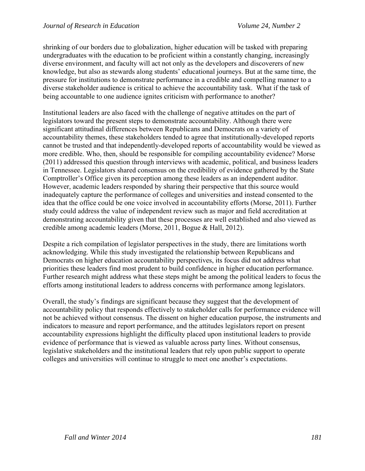shrinking of our borders due to globalization, higher education will be tasked with preparing undergraduates with the education to be proficient within a constantly changing, increasingly diverse environment, and faculty will act not only as the developers and discoverers of new knowledge, but also as stewards along students' educational journeys. But at the same time, the pressure for institutions to demonstrate performance in a credible and compelling manner to a diverse stakeholder audience is critical to achieve the accountability task. What if the task of being accountable to one audience ignites criticism with performance to another?

Institutional leaders are also faced with the challenge of negative attitudes on the part of legislators toward the present steps to demonstrate accountability. Although there were significant attitudinal differences between Republicans and Democrats on a variety of accountability themes, these stakeholders tended to agree that institutionally-developed reports cannot be trusted and that independently-developed reports of accountability would be viewed as more credible. Who, then, should be responsible for compiling accountability evidence? Morse (2011) addressed this question through interviews with academic, political, and business leaders in Tennessee. Legislators shared consensus on the credibility of evidence gathered by the State Comptroller's Office given its perception among these leaders as an independent auditor. However, academic leaders responded by sharing their perspective that this source would inadequately capture the performance of colleges and universities and instead consented to the idea that the office could be one voice involved in accountability efforts (Morse, 2011). Further study could address the value of independent review such as major and field accreditation at demonstrating accountability given that these processes are well established and also viewed as credible among academic leaders (Morse, 2011, Bogue & Hall, 2012).

Despite a rich compilation of legislator perspectives in the study, there are limitations worth acknowledging. While this study investigated the relationship between Republicans and Democrats on higher education accountability perspectives, its focus did not address what priorities these leaders find most prudent to build confidence in higher education performance. Further research might address what these steps might be among the political leaders to focus the efforts among institutional leaders to address concerns with performance among legislators.

Overall, the study's findings are significant because they suggest that the development of accountability policy that responds effectively to stakeholder calls for performance evidence will not be achieved without consensus. The dissent on higher education purpose, the instruments and indicators to measure and report performance, and the attitudes legislators report on present accountability expressions highlight the difficulty placed upon institutional leaders to provide evidence of performance that is viewed as valuable across party lines. Without consensus, legislative stakeholders and the institutional leaders that rely upon public support to operate colleges and universities will continue to struggle to meet one another's expectations.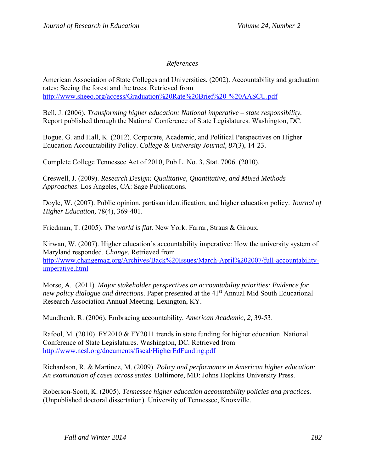### *References*

American Association of State Colleges and Universities. (2002). Accountability and graduation rates: Seeing the forest and the trees. Retrieved from http://www.sheeo.org/access/Graduation%20Rate%20Brief%20-%20AASCU.pdf

Bell, J. (2006). *Transforming higher education: National imperative – state responsibility.*  Report published through the National Conference of State Legislatures. Washington, DC.

Bogue, G. and Hall, K. (2012). Corporate, Academic, and Political Perspectives on Higher Education Accountability Policy. *College & University Journal, 87*(3), 14-23.

Complete College Tennessee Act of 2010, Pub L. No. 3, Stat. 7006. (2010).

Creswell, J. (2009). *Research Design: Qualitative, Quantitative, and Mixed Methods Approaches*. Los Angeles, CA: Sage Publications.

Doyle, W. (2007). Public opinion, partisan identification, and higher education policy. *Journal of Higher Education,* 78(4), 369-401.

Friedman, T. (2005). *The world is flat.* New York: Farrar, Straus & Giroux*.* 

Kirwan, W. (2007). Higher education's accountability imperative: How the university system of Maryland responded. *Change.* Retrieved from http://www.changemag.org/Archives/Back%20Issues/March-April%202007/full-accountabilityimperative.html

Morse, A. (2011). *Major stakeholder perspectives on accountability priorities: Evidence for new policy dialogue and directions.* Paper presented at the 41<sup>st</sup> Annual Mid South Educational Research Association Annual Meeting. Lexington, KY.

Mundhenk, R. (2006). Embracing accountability*. American Academic, 2,* 39-53.

Rafool, M. (2010). FY2010 & FY2011 trends in state funding for higher education. National Conference of State Legislatures. Washington, DC. Retrieved from http://www.ncsl.org/documents/fiscal/HigherEdFunding.pdf

Richardson, R. & Martinez, M. (2009). *Policy and performance in American higher education: An examination of cases across states*. Baltimore, MD: Johns Hopkins University Press.

Roberson-Scott, K. (2005). *Tennessee higher education accountability policies and practices.*  (Unpublished doctoral dissertation). University of Tennessee, Knoxville.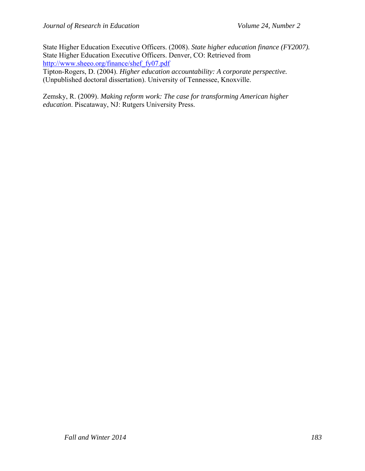State Higher Education Executive Officers. (2008). *State higher education finance (FY2007).*  State Higher Education Executive Officers. Denver, CO: Retrieved from http://www.sheeo.org/finance/shef\_fy07.pdf

Tipton-Rogers, D. (2004). *Higher education accountability: A corporate perspective.*  (Unpublished doctoral dissertation). University of Tennessee, Knoxville.

Zemsky, R. (2009). *Making reform work: The case for transforming American higher education*. Piscataway, NJ: Rutgers University Press.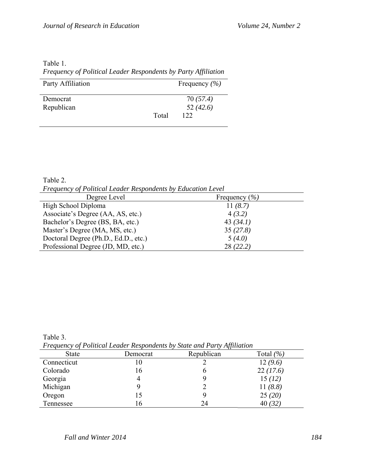| Table 1.                                                       |
|----------------------------------------------------------------|
| Frequency of Political Leader Respondents by Party Affiliation |

| Party Affiliation |       | Frequency $(\% )$ |
|-------------------|-------|-------------------|
| Democrat          |       | 70 (57.4)         |
| Republican        |       | 52(42.6)          |
|                   | Total | 122               |

Table 2. *Frequency of Political Leader Respondents by Education Level* 

| The concentration of the contract of the concentration of European Belleville |                   |  |
|-------------------------------------------------------------------------------|-------------------|--|
| Degree Level                                                                  | Frequency $(\% )$ |  |
| High School Diploma                                                           | 11 $(8.7)$        |  |
| Associate's Degree (AA, AS, etc.)                                             | 4(3.2)            |  |
| Bachelor's Degree (BS, BA, etc.)                                              | 43(34.1)          |  |
| Master's Degree (MA, MS, etc.)                                                | 35(27.8)          |  |
| Doctoral Degree (Ph.D., Ed.D., etc.)                                          | 5(4.0)            |  |
| Professional Degree (JD, MD, etc.)                                            | 28(22.2)          |  |

Table 3.

*Frequency of Political Leader Respondents by State and Party Affiliation* 

| <b>State</b> | Democrat | $\cdot$<br>Republican | Total $(\% )$ |
|--------------|----------|-----------------------|---------------|
| Connecticut  | 10       |                       | 12(9.6)       |
| Colorado     | 16       | O                     | 22(17.6)      |
| Georgia      |          |                       | 15(12)        |
| Michigan     |          |                       | 11 $(8.8)$    |
| Oregon       | l 5      |                       | 25(20)        |
| Tennessee    | 16       | 24                    | 40(32)        |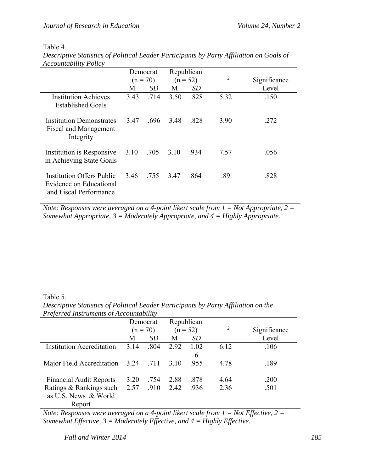#### Table 4.

| Accountability Policy                                                                 |                                                    |      |      |      |              |       |
|---------------------------------------------------------------------------------------|----------------------------------------------------|------|------|------|--------------|-------|
|                                                                                       | Republican<br>Democrat<br>$(n = 70)$<br>$(n = 52)$ |      |      | 2    | Significance |       |
|                                                                                       | M                                                  | SD.  | М    | SD   |              | Level |
| <b>Institution Achieves</b><br><b>Established Goals</b>                               | 3.43                                               | .714 | 3.50 | .828 | 5.32         | .150  |
| <b>Institution Demonstrates</b><br><b>Fiscal and Management</b><br>Integrity          | 3.47                                               | .696 | 3.48 | .828 | 3.90         | .272  |
| Institution is Responsive<br>in Achieving State Goals                                 | 3.10                                               | .705 | 3.10 | .934 | 7.57         | .056  |
| <b>Institution Offers Public</b><br>Evidence on Educational<br>and Fiscal Performance | 3.46                                               | .755 | 3.47 | .864 | .89          | .828  |

*Descriptive Statistics of Political Leader Participants by Party Affiliation on Goals of*  <sub>ntability</sub> p<sub>olic</sub>

*Note: Responses were averaged on a 4-point likert scale from 1 = Not Appropriate, 2 = Somewhat Appropriate, 3 = Moderately Appropriate, and 4 = Highly Appropriate.* 

Table 5.

*Preferred Instruments of Accountability*  Democrat  $(n = 70)$  M *SD* Republican  $(n = 52)$  M *SD* <sup>2</sup> Significance Level Institution Accreditation 3.14 .804 2.92 1.02 6.12 .106

Major Field Accreditation 3.24 .711 3.10 .955 4.78 .189

6

*Descriptive Statistics of Political Leader Participants by Party Affiliation on the* 

| <b>Financial Audit Reports</b>                                                          |  | 3.20 .754 | 2.88 | - 878 | 4.64 | .200 |
|-----------------------------------------------------------------------------------------|--|-----------|------|-------|------|------|
| Ratings & Rankings such $2.57$ .910 2.42                                                |  |           |      | .936  | 2 36 | .501 |
| as U.S. News & World                                                                    |  |           |      |       |      |      |
| Report                                                                                  |  |           |      |       |      |      |
| Note: Responses were averaged on a 4-point likert scale from $1 = Not$ Effective, $2 =$ |  |           |      |       |      |      |

*Somewhat Effective, 3 = Moderately Effective, and 4 = Highly Effective.*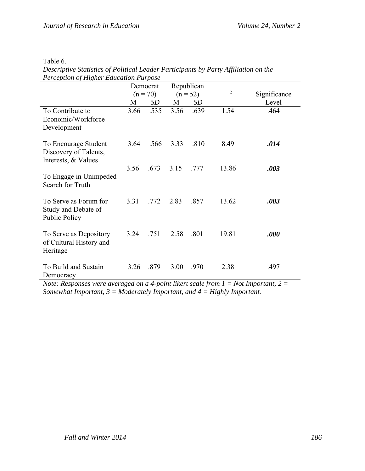| Perception of Higher Education Purpose                               |      |                        |            |           |       |       |                |              |
|----------------------------------------------------------------------|------|------------------------|------------|-----------|-------|-------|----------------|--------------|
|                                                                      |      | Republican<br>Democrat |            |           |       |       |                |              |
|                                                                      |      | $(n = 70)$             | $(n = 52)$ |           |       |       | $\overline{2}$ | Significance |
|                                                                      | M    | <b>SD</b>              | M          | <b>SD</b> |       | Level |                |              |
| To Contribute to<br>Economic/Workforce<br>Development                | 3.66 | .535                   | 3.56       | .639      | 1.54  | .464  |                |              |
| To Encourage Student<br>Discovery of Talents,<br>Interests, & Values | 3.64 | .566                   | 3.33       | .810      | 8.49  | .014  |                |              |
| To Engage in Unimpeded<br>Search for Truth                           | 3.56 | .673                   | 3.15       | .777      | 13.86 | .003  |                |              |
| To Serve as Forum for<br>Study and Debate of<br>Public Policy        | 3.31 | .772                   | 2.83       | .857      | 13.62 | .003  |                |              |
| To Serve as Depository<br>of Cultural History and<br>Heritage        | 3.24 | .751                   | 2.58       | .801      | 19.81 | .000  |                |              |
| To Build and Sustain<br>Democracy                                    | 3.26 | .879                   | 3.00       | .970      | 2.38  | .497  |                |              |

| Descriptive Statistics of Political Leader Participants by Party Affiliation on the |  |
|-------------------------------------------------------------------------------------|--|
| Perception of Higher Education Purpose                                              |  |

*Note: Responses were averaged on a 4-point likert scale from 1 = Not Important, 2 = Somewhat Important, 3 = Moderately Important, and 4 = Highly Important.*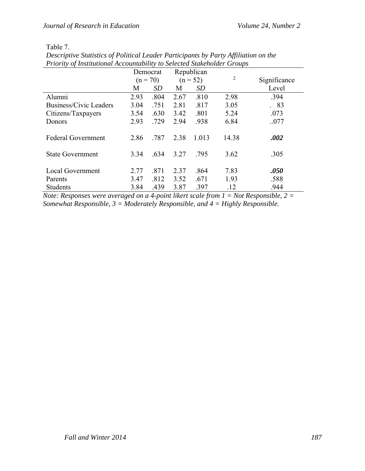# Table 7.

| T Tiority of Institutional Accountability to Selected Stakeholder Groups |      |            |            |            |       |              |  |  |
|--------------------------------------------------------------------------|------|------------|------------|------------|-------|--------------|--|--|
|                                                                          |      | Democrat   | Republican |            |       |              |  |  |
|                                                                          |      | $(n = 70)$ |            | $(n = 52)$ | 2     | Significance |  |  |
|                                                                          | M    | <b>SD</b>  | M          | SD         |       | Level        |  |  |
| Alumni                                                                   | 2.93 | .804       | 2.67       | .810       | 2.98  | .394         |  |  |
| Business/Civic Leaders                                                   | 3.04 | .751       | 2.81       | .817       | 3.05  | .83          |  |  |
| Citizens/Taxpayers                                                       | 3.54 | .630       | 3.42       | .801       | 5.24  | .073         |  |  |
| Donors                                                                   | 2.93 | .729       | 2.94       | .938       | 6.84  | .077         |  |  |
|                                                                          |      |            |            |            |       |              |  |  |
| <b>Federal Government</b>                                                | 2.86 | .787       | 2.38       | 1.013      | 14.38 | .002         |  |  |
|                                                                          |      |            |            |            |       |              |  |  |
| <b>State Government</b>                                                  | 3.34 | .634       | 3.27       | .795       | 3.62  | .305         |  |  |
|                                                                          |      |            |            |            |       |              |  |  |
| <b>Local Government</b>                                                  | 2.77 | .871       | 2.37       | .864       | 7.83  | .050         |  |  |
| Parents                                                                  | 3.47 | .812       | 3.52       | .671       | 1.93  | .588         |  |  |
| <b>Students</b>                                                          | 3.84 | .439       | 3.87       | .397       | .12   | .944         |  |  |

*Descriptive Statistics of Political Leader Participants by Party Affiliation on the Priority of Institutional Accountability to Selected Stakeholder Groups* 

*Note: Responses were averaged on a 4-point likert scale from 1 = Not Responsible, 2 = Somewhat Responsible, 3 = Moderately Responsible, and 4 = Highly Responsible.*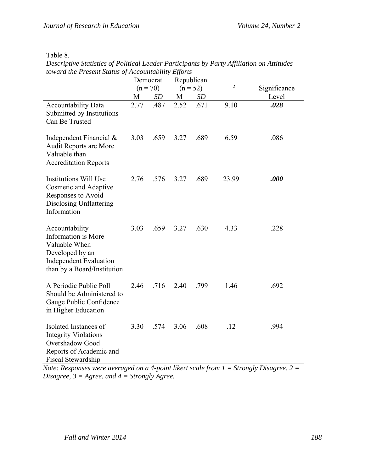| <b>Table</b> | Ω |
|--------------|---|
|--------------|---|

| <i>lowara ine Preseni Sialus of Accountability Efforts</i>                                                                                | Republican<br>Democrat |            |      |            |       |              |
|-------------------------------------------------------------------------------------------------------------------------------------------|------------------------|------------|------|------------|-------|--------------|
|                                                                                                                                           |                        | $(n = 70)$ |      | $(n = 52)$ | 2     | Significance |
|                                                                                                                                           | M                      | <i>SD</i>  | M    | <i>SD</i>  |       | Level        |
| <b>Accountability Data</b><br>Submitted by Institutions<br>Can Be Trusted                                                                 | 2.77                   | .487       | 2.52 | .671       | 9.10  | .028         |
| Independent Financial $\&$<br>Audit Reports are More<br>Valuable than<br><b>Accreditation Reports</b>                                     | 3.03                   | .659       | 3.27 | .689       | 6.59  | .086         |
| <b>Institutions Will Use</b><br>Cosmetic and Adaptive<br>Responses to Avoid<br><b>Disclosing Unflattering</b><br>Information              | 2.76                   | .576       | 3.27 | .689       | 23.99 | .000         |
| Accountability<br>Information is More<br>Valuable When<br>Developed by an<br><b>Independent Evaluation</b><br>than by a Board/Institution | 3.03                   | .659       | 3.27 | .630       | 4.33  | .228         |
| A Periodic Public Poll<br>Should be Administered to<br>Gauge Public Confidence<br>in Higher Education                                     | 2.46                   | .716       | 2.40 | .799       | 1.46  | .692         |
| Isolated Instances of<br><b>Integrity Violations</b><br><b>Overshadow Good</b><br>Reports of Academic and<br>Fiscal Stewardship           | 3.30                   | .574       | 3.06 | .608       | .12   | .994         |

*Descriptive Statistics of Political Leader Participants by Party Affiliation on Attitudes toward the Present Status of Accountability Efforts* 

*Note: Responses were averaged on a 4-point likert scale from 1 = Strongly Disagree, 2 = Disagree, 3 = Agree, and 4 = Strongly Agree.*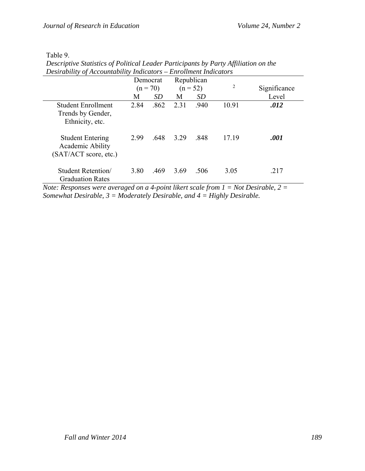| Desirability of Accountability Indicators – Enrollment Indicators    |      |            |      |            |       |              |  |  |
|----------------------------------------------------------------------|------|------------|------|------------|-------|--------------|--|--|
|                                                                      |      | Democrat   |      | Republican |       |              |  |  |
|                                                                      |      | $(n = 70)$ |      | $(n = 52)$ | 2     | Significance |  |  |
|                                                                      | М    | <i>SD</i>  | M    | <i>SD</i>  |       | Level        |  |  |
| Student Enrollment<br>Trends by Gender,<br>Ethnicity, etc.           | 2.84 | .862       | 2.31 | .940       | 10.91 | .012         |  |  |
| <b>Student Entering</b><br>Academic Ability<br>(SAT/ACT score, etc.) | 299  | .648       | 3 29 | -848       | 17 19 | .001         |  |  |
| Student Retention/<br><b>Graduation Rates</b>                        | 3.80 | .469       | 3.69 | .506       | 3.05  | .217         |  |  |

*Descriptive Statistics of Political Leader Participants by Party Affiliation on the Desirability of Accountability Indicators – Enrollment Indicators*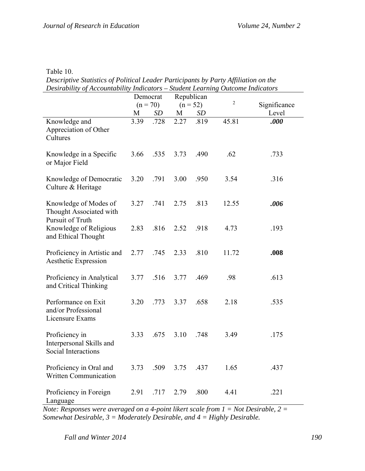Table 10.

*Descriptive Statistics of Political Leader Participants by Party Affiliation on the Desirability of Accountability Indicators – Student Learning Outcome Indicators* 

|                                                                      | Democrat<br>$(n = 70)$ |           | Republican<br>$(n = 52)$ |      | $\overline{2}$ | Significance |
|----------------------------------------------------------------------|------------------------|-----------|--------------------------|------|----------------|--------------|
|                                                                      | M                      | <b>SD</b> | M                        | SD   |                | Level        |
| Knowledge and<br>Appreciation of Other<br>Cultures                   | 3.39                   | .728      | 2.27                     | .819 | 45.81          | .000         |
| Knowledge in a Specific<br>or Major Field                            | 3.66                   | .535      | 3.73                     | .490 | .62            | .733         |
| Knowledge of Democratic<br>Culture & Heritage                        | 3.20                   | .791      | 3.00                     | .950 | 3.54           | .316         |
| Knowledge of Modes of<br>Thought Associated with<br>Pursuit of Truth | 3.27                   | .741      | 2.75                     | .813 | 12.55          | .006         |
| Knowledge of Religious<br>and Ethical Thought                        | 2.83                   | .816      | 2.52                     | .918 | 4.73           | .193         |
| Proficiency in Artistic and<br>Aesthetic Expression                  | 2.77                   | .745      | 2.33                     | .810 | 11.72          | .008         |
| Proficiency in Analytical<br>and Critical Thinking                   | 3.77                   | .516      | 3.77                     | .469 | .98            | .613         |
| Performance on Exit<br>and/or Professional<br>Licensure Exams        | 3.20                   | .773      | 3.37                     | .658 | 2.18           | .535         |
| Proficiency in<br>Interpersonal Skills and<br>Social Interactions    | 3.33                   | .675      | 3.10                     | .748 | 3.49           | .175         |
| Proficiency in Oral and<br><b>Written Communication</b>              | 3.73                   | .509      | 3.75                     | .437 | 1.65           | .437         |
| Proficiency in Foreign<br>Language                                   | 2.91                   | .717      | 2.79                     | .800 | 4.41           | .221         |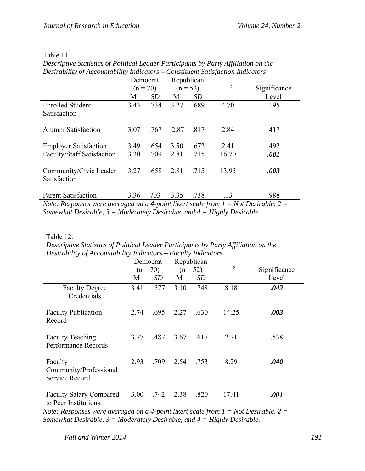|  | Table 1 |  |  |
|--|---------|--|--|
|--|---------|--|--|

| Desirability of Accountability Indicators – Constituent Satisfaction Indicators      |                        |           |                          |      |                |              |  |  |
|--------------------------------------------------------------------------------------|------------------------|-----------|--------------------------|------|----------------|--------------|--|--|
|                                                                                      | Democrat<br>$(n = 70)$ |           | Republican<br>$(n = 52)$ |      |                |              |  |  |
|                                                                                      |                        |           |                          |      | $\overline{2}$ | Significance |  |  |
|                                                                                      | M                      | <i>SD</i> | M                        | SD   |                | Level        |  |  |
| <b>Enrolled Student</b>                                                              | 3.43                   | .734      | 3.27                     | .689 | 4.70           | .195         |  |  |
| Satisfaction                                                                         |                        |           |                          |      |                |              |  |  |
| Alumni Satisfaction                                                                  | 3.07                   | .767      | 2.87                     | .817 | 2.84           | .417         |  |  |
| <b>Employer Satisfaction</b>                                                         | 3.49                   | .654      | 3.50                     | .672 | 2.41           | .492         |  |  |
| <b>Faculty/Staff Satisfaction</b>                                                    | 3.30                   | .709      | 2.81                     | .715 | 16.70          | .001         |  |  |
| Community/Civic Leader<br>Satisfaction                                               | 3.27                   | .658      | 2.81                     | .715 | 13.95          | .003         |  |  |
| <b>Parent Satisfaction</b>                                                           | 3.36                   | .703      | 3.35                     | .738 | .13            | .988         |  |  |
| Note: Responses were averaged on a 4-point likert scale from $I -$ Not Desirable 2 – |                        |           |                          |      |                |              |  |  |

*Descriptive Statistics of Political Leader Participants by Party Affiliation on the Desirability of Accountability Indicators – Constituent Satisfaction Indicators* 

*Note: Responses were averaged on a 4-point likert scale from*  $1 = Not$  *Desirable, 2 Somewhat Desirable, 3 = Moderately Desirable, and 4 = Highly Desirable.*

Table 12.

| Descriptive Statistics of Political Leader Participants by Party Affiliation on the |
|-------------------------------------------------------------------------------------|
| Desirability of Accountability Indicators $-$ Faculty Indicators                    |

|                                                        | Democrat<br>$(n = 70)$ |      | Republican<br>$(n = 52)$ |      | $\overline{2}$ | Significance |
|--------------------------------------------------------|------------------------|------|--------------------------|------|----------------|--------------|
|                                                        | M                      | SD   | M                        | SD   |                | Level        |
| <b>Faculty Degree</b><br>Credentials                   | 3.41                   | .577 | 3.10                     | .748 | 8.18           | .042         |
| <b>Faculty Publication</b><br>Record                   | 2.74                   | .695 | 2.27                     | .630 | 14.25          | .003         |
| <b>Faculty Teaching</b><br>Performance Records         | 3.77                   | .487 | 3.67                     | .617 | 2.71           | .538         |
| Faculty<br>Community/Professional<br>Service Record    | 2.93                   | .709 | 2.54                     | .753 | 8.29           | .040         |
| <b>Faculty Salary Compared</b><br>to Peer Institutions | 3.00                   | .742 | 2.38                     | .820 | 17.41          | .001         |